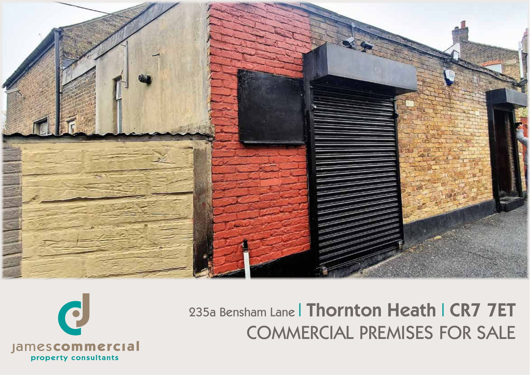

# 235a Bensham Lane | Thornton Heath | CR7 7ET **COMMERCIAL PREMISES FOR SALE**